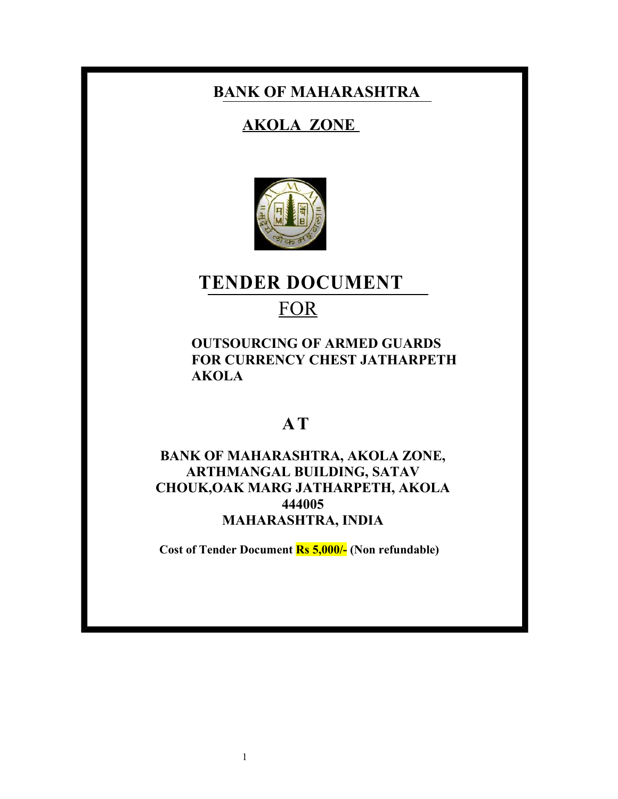# **BANK OF MAHARASHTRA**

# **AKOLA ZONE**



# **TENDER DOCUMENT**

# **FOR**

**OUTSOURCING OF ARMED GUARDS FOR CURRENCY CHEST JATHARPETH AKOLA**

# **A T**

# **BANK OF MAHARASHTRA, AKOLA ZONE, ARTHMANGAL BUILDING, SATAV CHOUK,OAK MARG JATHARPETH, AKOLA 444005 MAHARASHTRA, INDIA**

**Cost of Tender Document Rs 5,000/- (Non refundable)**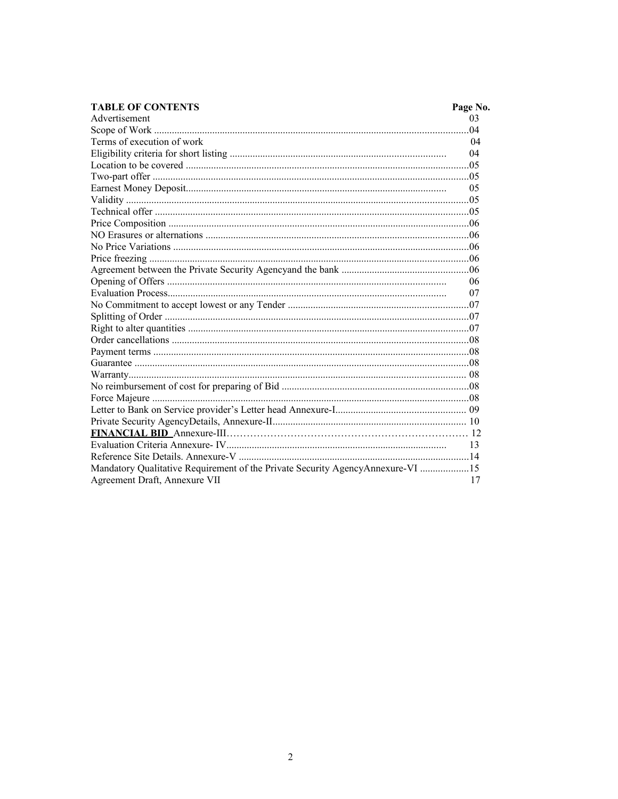| <b>TABLE OF CONTENTS</b>                                                       | Page No. |
|--------------------------------------------------------------------------------|----------|
| Advertisement                                                                  | 03       |
|                                                                                |          |
| Terms of execution of work                                                     | 04       |
|                                                                                | 04       |
|                                                                                |          |
|                                                                                |          |
|                                                                                | 05       |
|                                                                                |          |
|                                                                                |          |
|                                                                                |          |
|                                                                                |          |
|                                                                                |          |
|                                                                                |          |
|                                                                                |          |
|                                                                                | -06      |
|                                                                                | 07       |
|                                                                                |          |
|                                                                                |          |
|                                                                                |          |
|                                                                                |          |
|                                                                                |          |
|                                                                                |          |
|                                                                                |          |
|                                                                                |          |
|                                                                                |          |
|                                                                                |          |
|                                                                                |          |
|                                                                                |          |
|                                                                                | -13      |
|                                                                                |          |
| Mandatory Qualitative Requirement of the Private Security AgencyAnnexure-VI 15 |          |
| Agreement Draft, Annexure VII                                                  | 17       |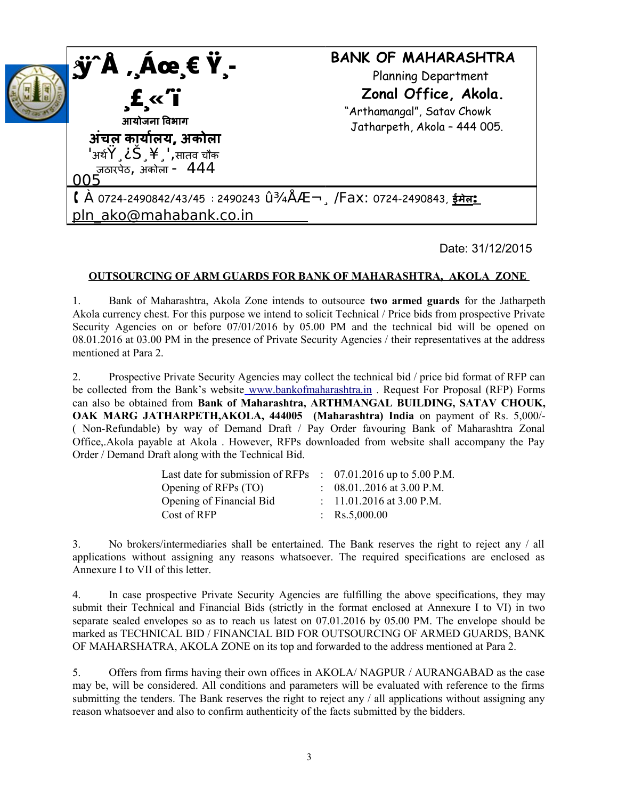

Date: 31/12/2015

## **OUTSOURCING OF ARM GUARDS FOR BANK OF MAHARASHTRA, AKOLA ZONE**

1. Bank of Maharashtra, Akola Zone intends to outsource **two armed guards** for the Jatharpeth Akola currency chest. For this purpose we intend to solicit Technical / Price bids from prospective Private Security Agencies on or before 07/01/2016 by 05.00 PM and the technical bid will be opened on 08.01.2016 at 03.00 PM in the presence of Private Security Agencies / their representatives at the address mentioned at Para 2.

2. Prospective Private Security Agencies may collect the technical bid / price bid format of RFP can be collected from the Bank's website [www.bankofmaharashtra.in](http://www.bankofmaharashtra.in/) . Request For Proposal (RFP) Forms can also be obtained from **Bank of Maharashtra, ARTHMANGAL BUILDING, SATAV CHOUK, OAK MARG JATHARPETH,AKOLA, 444005 (Maharashtra) India** on payment of Rs. 5,000/- ( Non-Refundable) by way of Demand Draft / Pay Order favouring Bank of Maharashtra Zonal Office,.Akola payable at Akola . However, RFPs downloaded from website shall accompany the Pay Order / Demand Draft along with the Technical Bid.

| Last date for submission of RFPs $\therefore$ 07.01.2016 up to 5.00 P.M. |                                     |
|--------------------------------------------------------------------------|-------------------------------------|
| Opening of RFPs (TO)                                                     | $\therefore$ 08.012016 at 3.00 P.M. |
| Opening of Financial Bid                                                 | : $11.01.2016$ at 3.00 P.M.         |
| Cost of RFP                                                              | : $\text{Rs}.5,000.00$              |

3. No brokers/intermediaries shall be entertained. The Bank reserves the right to reject any / all applications without assigning any reasons whatsoever. The required specifications are enclosed as Annexure I to VII of this letter.

4. In case prospective Private Security Agencies are fulfilling the above specifications, they may submit their Technical and Financial Bids (strictly in the format enclosed at Annexure I to VI) in two separate sealed envelopes so as to reach us latest on 07.01.2016 by 05.00 PM. The envelope should be marked as TECHNICAL BID / FINANCIAL BID FOR OUTSOURCING OF ARMED GUARDS, BANK OF MAHARSHATRA, AKOLA ZONE on its top and forwarded to the address mentioned at Para 2.

5. Offers from firms having their own offices in AKOLA/ NAGPUR / AURANGABAD as the case may be, will be considered. All conditions and parameters will be evaluated with reference to the firms submitting the tenders. The Bank reserves the right to reject any / all applications without assigning any reason whatsoever and also to confirm authenticity of the facts submitted by the bidders.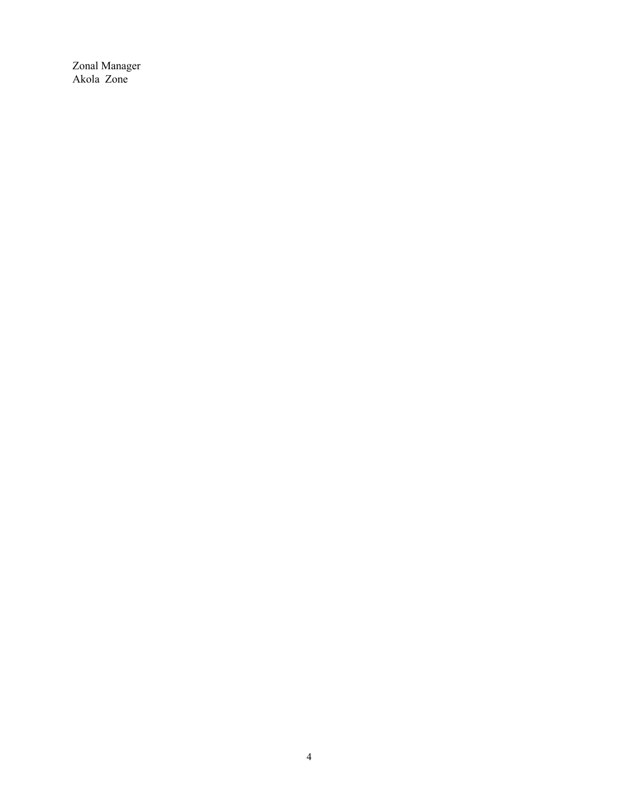Zonal Manager Akola Zone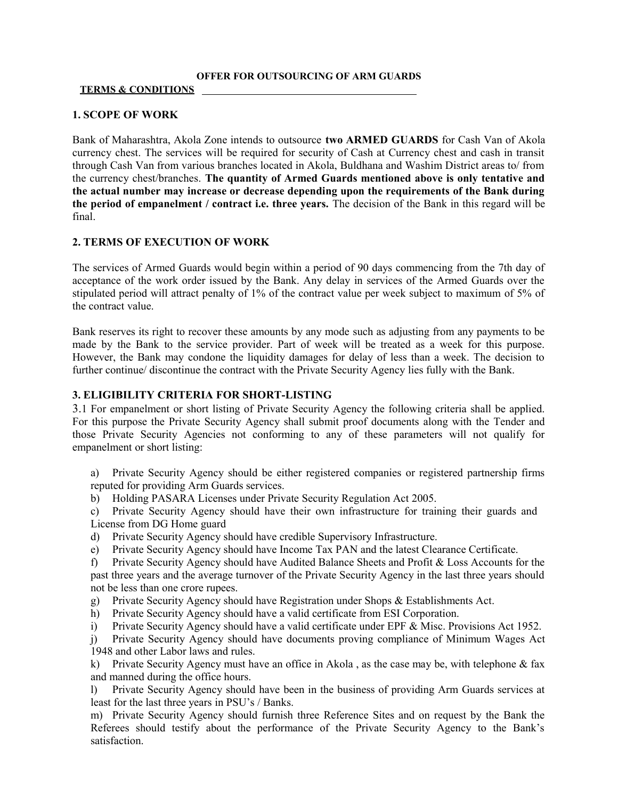#### **OFFER FOR OUTSOURCING OF ARM GUARDS**

#### **TERMS & CONDITIONS**

### **1. SCOPE OF WORK**

Bank of Maharashtra, Akola Zone intends to outsource **two ARMED GUARDS** for Cash Van of Akola currency chest. The services will be required for security of Cash at Currency chest and cash in transit through Cash Van from various branches located in Akola, Buldhana and Washim District areas to/ from the currency chest/branches. **The quantity of Armed Guards mentioned above is only tentative and the actual number may increase or decrease depending upon the requirements of the Bank during the period of empanelment / contract i.e. three years.** The decision of the Bank in this regard will be final.

## **2. TERMS OF EXECUTION OF WORK**

The services of Armed Guards would begin within a period of 90 days commencing from the 7th day of acceptance of the work order issued by the Bank. Any delay in services of the Armed Guards over the stipulated period will attract penalty of 1% of the contract value per week subject to maximum of 5% of the contract value.

Bank reserves its right to recover these amounts by any mode such as adjusting from any payments to be made by the Bank to the service provider. Part of week will be treated as a week for this purpose. However, the Bank may condone the liquidity damages for delay of less than a week. The decision to further continue/ discontinue the contract with the Private Security Agency lies fully with the Bank.

### **3. ELIGIBILITY CRITERIA FOR SHORT-LISTING**

3.1 For empanelment or short listing of Private Security Agency the following criteria shall be applied. For this purpose the Private Security Agency shall submit proof documents along with the Tender and those Private Security Agencies not conforming to any of these parameters will not qualify for empanelment or short listing:

a) Private Security Agency should be either registered companies or registered partnership firms reputed for providing Arm Guards services.

b) Holding PASARA Licenses under Private Security Regulation Act 2005.

c) Private Security Agency should have their own infrastructure for training their guards and License from DG Home guard

- d) Private Security Agency should have credible Supervisory Infrastructure.
- e) Private Security Agency should have Income Tax PAN and the latest Clearance Certificate.

f) Private Security Agency should have Audited Balance Sheets and Profit & Loss Accounts for the past three years and the average turnover of the Private Security Agency in the last three years should not be less than one crore rupees.

g) Private Security Agency should have Registration under Shops & Establishments Act.

h) Private Security Agency should have a valid certificate from ESI Corporation.

i) Private Security Agency should have a valid certificate under EPF & Misc. Provisions Act 1952.

j) Private Security Agency should have documents proving compliance of Minimum Wages Act 1948 and other Labor laws and rules.

k) Private Security Agency must have an office in Akola , as the case may be, with telephone & fax and manned during the office hours.

l) Private Security Agency should have been in the business of providing Arm Guards services at least for the last three years in PSU's / Banks.

m) Private Security Agency should furnish three Reference Sites and on request by the Bank the Referees should testify about the performance of the Private Security Agency to the Bank's satisfaction.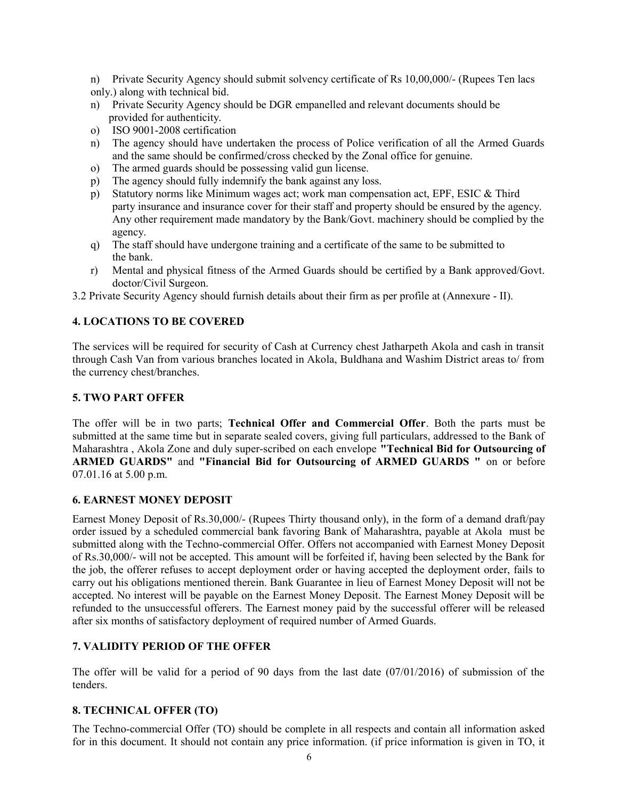n) Private Security Agency should submit solvency certificate of Rs 10,00,000/- (Rupees Ten lacs

only.) along with technical bid.

- n) Private Security Agency should be DGR empanelled and relevant documents should be provided for authenticity.
- o) ISO 9001-2008 certification
- n) The agency should have undertaken the process of Police verification of all the Armed Guards and the same should be confirmed/cross checked by the Zonal office for genuine.
- o) The armed guards should be possessing valid gun license.
- p) The agency should fully indemnify the bank against any loss.
- p) Statutory norms like Minimum wages act; work man compensation act, EPF, ESIC & Third party insurance and insurance cover for their staff and property should be ensured by the agency. Any other requirement made mandatory by the Bank/Govt. machinery should be complied by the agency.
- q) The staff should have undergone training and a certificate of the same to be submitted to the bank.
- r) Mental and physical fitness of the Armed Guards should be certified by a Bank approved/Govt. doctor/Civil Surgeon.

3.2 Private Security Agency should furnish details about their firm as per profile at (Annexure - II).

# **4. LOCATIONS TO BE COVERED**

The services will be required for security of Cash at Currency chest Jatharpeth Akola and cash in transit through Cash Van from various branches located in Akola, Buldhana and Washim District areas to/ from the currency chest/branches.

# **5. TWO PART OFFER**

The offer will be in two parts; **Technical Offer and Commercial Offer**. Both the parts must be submitted at the same time but in separate sealed covers, giving full particulars, addressed to the Bank of Maharashtra , Akola Zone and duly super-scribed on each envelope **"Technical Bid for Outsourcing of ARMED GUARDS"** and **"Financial Bid for Outsourcing of ARMED GUARDS "** on or before 07.01.16 at 5.00 p.m.

# **6. EARNEST MONEY DEPOSIT**

Earnest Money Deposit of Rs.30,000/- (Rupees Thirty thousand only), in the form of a demand draft/pay order issued by a scheduled commercial bank favoring Bank of Maharashtra, payable at Akola must be submitted along with the Techno-commercial Offer. Offers not accompanied with Earnest Money Deposit of Rs.30,000/- will not be accepted. This amount will be forfeited if, having been selected by the Bank for the job, the offerer refuses to accept deployment order or having accepted the deployment order, fails to carry out his obligations mentioned therein. Bank Guarantee in lieu of Earnest Money Deposit will not be accepted. No interest will be payable on the Earnest Money Deposit. The Earnest Money Deposit will be refunded to the unsuccessful offerers. The Earnest money paid by the successful offerer will be released after six months of satisfactory deployment of required number of Armed Guards.

# **7. VALIDITY PERIOD OF THE OFFER**

The offer will be valid for a period of 90 days from the last date (07/01/2016) of submission of the tenders.

# **8. TECHNICAL OFFER (TO)**

The Techno-commercial Offer (TO) should be complete in all respects and contain all information asked for in this document. It should not contain any price information. (if price information is given in TO, it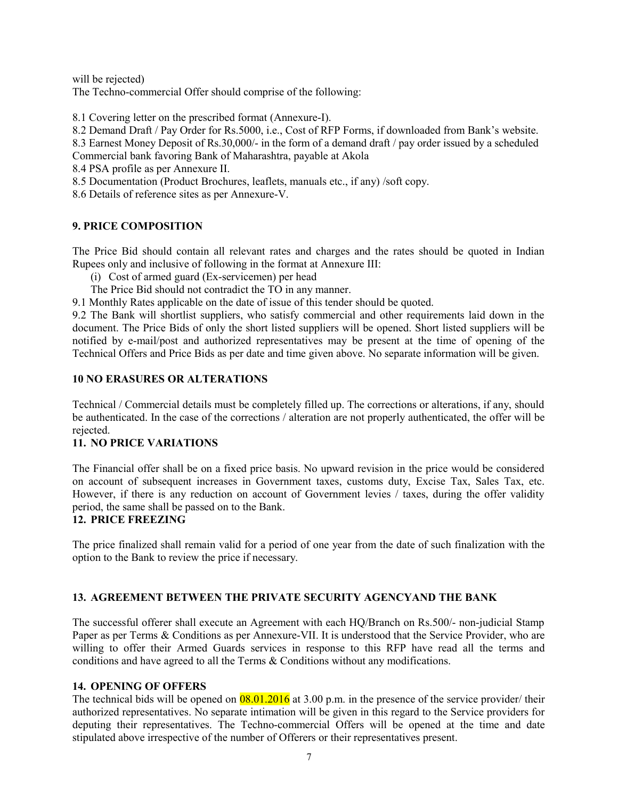will be rejected)

The Techno-commercial Offer should comprise of the following:

8.1 Covering letter on the prescribed format (Annexure-I).

8.2 Demand Draft / Pay Order for Rs.5000, i.e., Cost of RFP Forms, if downloaded from Bank's website. 8.3 Earnest Money Deposit of Rs.30,000/- in the form of a demand draft / pay order issued by a scheduled Commercial bank favoring Bank of Maharashtra, payable at Akola

8.4 PSA profile as per Annexure II.

8.5 Documentation (Product Brochures, leaflets, manuals etc., if any) /soft copy.

8.6 Details of reference sites as per Annexure-V.

# **9. PRICE COMPOSITION**

The Price Bid should contain all relevant rates and charges and the rates should be quoted in Indian Rupees only and inclusive of following in the format at Annexure III:

(i) Cost of armed guard (Ex-servicemen) per head

The Price Bid should not contradict the TO in any manner.

9.1 Monthly Rates applicable on the date of issue of this tender should be quoted.

9.2 The Bank will shortlist suppliers, who satisfy commercial and other requirements laid down in the document. The Price Bids of only the short listed suppliers will be opened. Short listed suppliers will be notified by e-mail/post and authorized representatives may be present at the time of opening of the Technical Offers and Price Bids as per date and time given above. No separate information will be given.

## **10 NO ERASURES OR ALTERATIONS**

Technical / Commercial details must be completely filled up. The corrections or alterations, if any, should be authenticated. In the case of the corrections / alteration are not properly authenticated, the offer will be rejected.

# **11. NO PRICE VARIATIONS**

The Financial offer shall be on a fixed price basis. No upward revision in the price would be considered on account of subsequent increases in Government taxes, customs duty, Excise Tax, Sales Tax, etc. However, if there is any reduction on account of Government levies / taxes, during the offer validity period, the same shall be passed on to the Bank.

### **12. PRICE FREEZING**

The price finalized shall remain valid for a period of one year from the date of such finalization with the option to the Bank to review the price if necessary.

# **13. AGREEMENT BETWEEN THE PRIVATE SECURITY AGENCYAND THE BANK**

The successful offerer shall execute an Agreement with each HQ/Branch on Rs.500/- non-judicial Stamp Paper as per Terms & Conditions as per Annexure-VII. It is understood that the Service Provider, who are willing to offer their Armed Guards services in response to this RFP have read all the terms and conditions and have agreed to all the Terms & Conditions without any modifications.

### **14. OPENING OF OFFERS**

The technical bids will be opened on  $\frac{08.01.2016}{6}$  at 3.00 p.m. in the presence of the service provider/ their authorized representatives. No separate intimation will be given in this regard to the Service providers for deputing their representatives. The Techno-commercial Offers will be opened at the time and date stipulated above irrespective of the number of Offerers or their representatives present.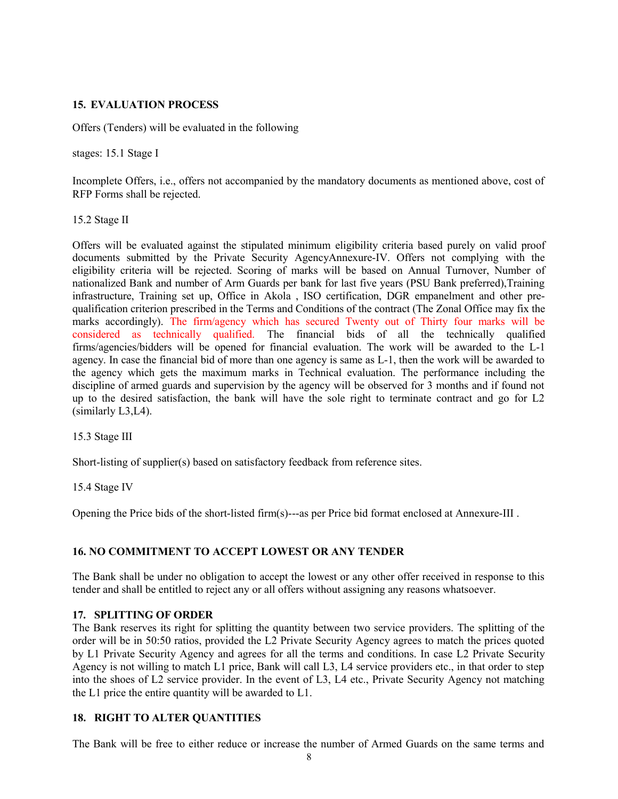### **15. EVALUATION PROCESS**

Offers (Tenders) will be evaluated in the following

stages: 15.1 Stage I

Incomplete Offers, i.e., offers not accompanied by the mandatory documents as mentioned above, cost of RFP Forms shall be rejected.

15.2 Stage II

Offers will be evaluated against the stipulated minimum eligibility criteria based purely on valid proof documents submitted by the Private Security AgencyAnnexure-IV. Offers not complying with the eligibility criteria will be rejected. Scoring of marks will be based on Annual Turnover, Number of nationalized Bank and number of Arm Guards per bank for last five years (PSU Bank preferred),Training infrastructure, Training set up, Office in Akola , ISO certification, DGR empanelment and other prequalification criterion prescribed in the Terms and Conditions of the contract (The Zonal Office may fix the marks accordingly). The firm/agency which has secured Twenty out of Thirty four marks will be considered as technically qualified. The financial bids of all the technically qualified firms/agencies/bidders will be opened for financial evaluation. The work will be awarded to the L-1 agency. In case the financial bid of more than one agency is same as L-1, then the work will be awarded to the agency which gets the maximum marks in Technical evaluation. The performance including the discipline of armed guards and supervision by the agency will be observed for 3 months and if found not up to the desired satisfaction, the bank will have the sole right to terminate contract and go for L2 (similarly L3,L4).

15.3 Stage III

Short-listing of supplier(s) based on satisfactory feedback from reference sites.

15.4 Stage IV

Opening the Price bids of the short-listed firm(s)---as per Price bid format enclosed at Annexure-III .

### **16. NO COMMITMENT TO ACCEPT LOWEST OR ANY TENDER**

The Bank shall be under no obligation to accept the lowest or any other offer received in response to this tender and shall be entitled to reject any or all offers without assigning any reasons whatsoever.

### **17. SPLITTING OF ORDER**

The Bank reserves its right for splitting the quantity between two service providers. The splitting of the order will be in 50:50 ratios, provided the L2 Private Security Agency agrees to match the prices quoted by L1 Private Security Agency and agrees for all the terms and conditions. In case L2 Private Security Agency is not willing to match L1 price, Bank will call L3, L4 service providers etc., in that order to step into the shoes of L2 service provider. In the event of L3, L4 etc., Private Security Agency not matching the L1 price the entire quantity will be awarded to L1.

### **18. RIGHT TO ALTER QUANTITIES**

The Bank will be free to either reduce or increase the number of Armed Guards on the same terms and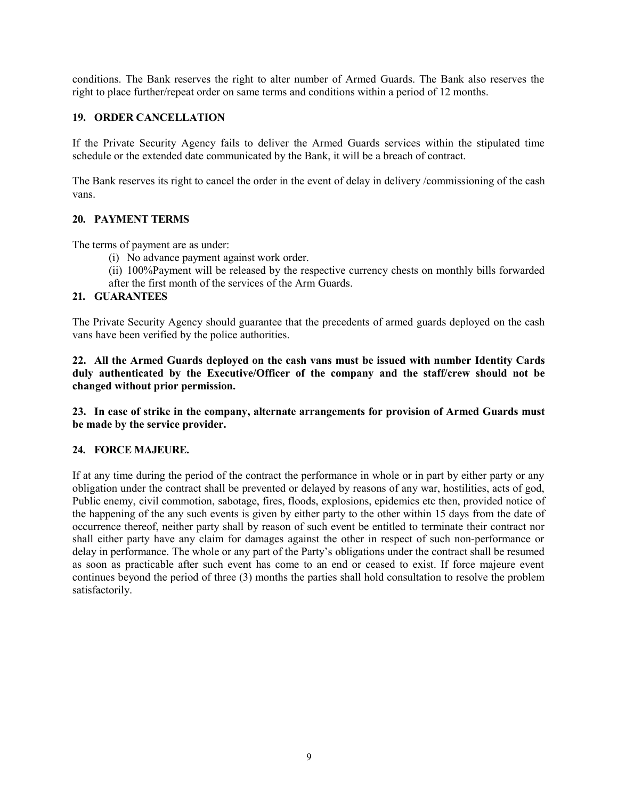conditions. The Bank reserves the right to alter number of Armed Guards. The Bank also reserves the right to place further/repeat order on same terms and conditions within a period of 12 months.

## **19. ORDER CANCELLATION**

If the Private Security Agency fails to deliver the Armed Guards services within the stipulated time schedule or the extended date communicated by the Bank, it will be a breach of contract.

The Bank reserves its right to cancel the order in the event of delay in delivery /commissioning of the cash vans.

## **20. PAYMENT TERMS**

The terms of payment are as under:

- (i) No advance payment against work order.
- (ii) 100%Payment will be released by the respective currency chests on monthly bills forwarded
- after the first month of the services of the Arm Guards.

## **21. GUARANTEES**

The Private Security Agency should guarantee that the precedents of armed guards deployed on the cash vans have been verified by the police authorities.

**22. All the Armed Guards deployed on the cash vans must be issued with number Identity Cards duly authenticated by the Executive/Officer of the company and the staff/crew should not be changed without prior permission.**

**23. In case of strike in the company, alternate arrangements for provision of Armed Guards must be made by the service provider.**

### **24. FORCE MAJEURE.**

If at any time during the period of the contract the performance in whole or in part by either party or any obligation under the contract shall be prevented or delayed by reasons of any war, hostilities, acts of god, Public enemy, civil commotion, sabotage, fires, floods, explosions, epidemics etc then, provided notice of the happening of the any such events is given by either party to the other within 15 days from the date of occurrence thereof, neither party shall by reason of such event be entitled to terminate their contract nor shall either party have any claim for damages against the other in respect of such non-performance or delay in performance. The whole or any part of the Party's obligations under the contract shall be resumed as soon as practicable after such event has come to an end or ceased to exist. If force majeure event continues beyond the period of three (3) months the parties shall hold consultation to resolve the problem satisfactorily.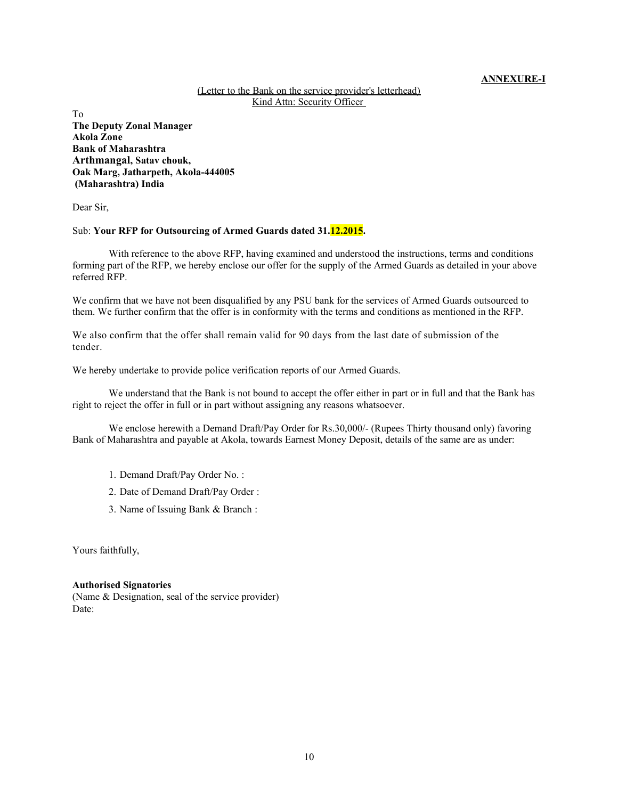#### **ANNEXURE-I**

#### (Letter to the Bank on the service provider's letterhead) Kind Attn: Security Officer

To **The Deputy Zonal Manager Akola Zone Bank of Maharashtra Arthmangal, Satav chouk, Oak Marg, Jatharpeth, Akola-444005 (Maharashtra) India**

Dear Sir,

#### Sub: **Your RFP for Outsourcing of Armed Guards dated 31.12.2015.**

With reference to the above RFP, having examined and understood the instructions, terms and conditions forming part of the RFP, we hereby enclose our offer for the supply of the Armed Guards as detailed in your above referred RFP.

We confirm that we have not been disqualified by any PSU bank for the services of Armed Guards outsourced to them. We further confirm that the offer is in conformity with the terms and conditions as mentioned in the RFP.

We also confirm that the offer shall remain valid for 90 days from the last date of submission of the tender.

We hereby undertake to provide police verification reports of our Armed Guards.

We understand that the Bank is not bound to accept the offer either in part or in full and that the Bank has right to reject the offer in full or in part without assigning any reasons whatsoever.

We enclose herewith a Demand Draft/Pay Order for Rs.30,000/- (Rupees Thirty thousand only) favoring Bank of Maharashtra and payable at Akola, towards Earnest Money Deposit, details of the same are as under:

- 1. Demand Draft/Pay Order No. :
- 2. Date of Demand Draft/Pay Order :
- 3. Name of Issuing Bank & Branch :

Yours faithfully,

#### **Authorised Signatories**

(Name & Designation, seal of the service provider) Date: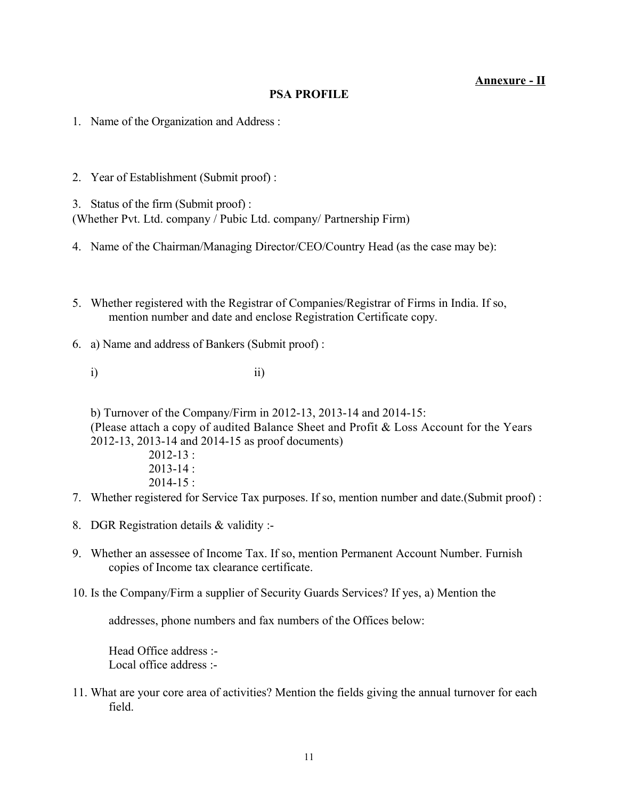# **Annexure - II**

# **PSA PROFILE**

- 1. Name of the Organization and Address :
- 2. Year of Establishment (Submit proof) :

3. Status of the firm (Submit proof) : (Whether Pvt. Ltd. company / Pubic Ltd. company/ Partnership Firm)

- 4. Name of the Chairman/Managing Director/CEO/Country Head (as the case may be):
- 5. Whether registered with the Registrar of Companies/Registrar of Firms in India. If so, mention number and date and enclose Registration Certificate copy.
- 6. a) Name and address of Bankers (Submit proof) :
	- i) ii)

b) Turnover of the Company/Firm in 2012-13, 2013-14 and 2014-15: (Please attach a copy of audited Balance Sheet and Profit & Loss Account for the Years 2012-13, 2013-14 and 2014-15 as proof documents) 2012-13 :

> $2013 - 14$  $2014 - 15$ :

- 7. Whether registered for Service Tax purposes. If so, mention number and date.(Submit proof) :
- 8. DGR Registration details & validity :-
- 9. Whether an assessee of Income Tax. If so, mention Permanent Account Number. Furnish copies of Income tax clearance certificate.
- 10. Is the Company/Firm a supplier of Security Guards Services? If yes, a) Mention the

addresses, phone numbers and fax numbers of the Offices below:

Head Office address :- Local office address :-

11. What are your core area of activities? Mention the fields giving the annual turnover for each field.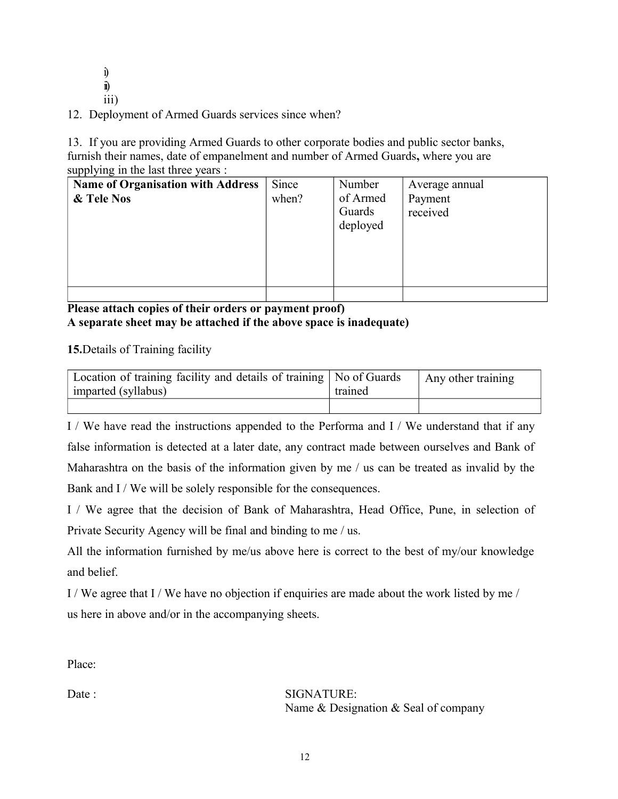i) ii) iii)

12. Deployment of Armed Guards services since when?

13. If you are providing Armed Guards to other corporate bodies and public sector banks, furnish their names, date of empanelment and number of Armed Guards**,** where you are supplying in the last three years :

| <b>Name of Organisation with Address</b> | Since | Number   | Average annual |
|------------------------------------------|-------|----------|----------------|
| & Tele Nos                               | when? | of Armed | Payment        |
|                                          |       | Guards   | received       |
|                                          |       | deployed |                |
|                                          |       |          |                |
|                                          |       |          |                |
|                                          |       |          |                |
|                                          |       |          |                |
|                                          |       |          |                |

**Please attach copies of their orders or payment proof) A separate sheet may be attached if the above space is inadequate)**

**15.**Details of Training facility

| Location of training facility and details of training   No of Guards<br>imparted (syllabus) | trained | Any other training |
|---------------------------------------------------------------------------------------------|---------|--------------------|
|                                                                                             |         |                    |

I / We have read the instructions appended to the Performa and I / We understand that if any false information is detected at a later date, any contract made between ourselves and Bank of Maharashtra on the basis of the information given by me / us can be treated as invalid by the Bank and I / We will be solely responsible for the consequences.

I / We agree that the decision of Bank of Maharashtra, Head Office, Pune, in selection of Private Security Agency will be final and binding to me / us.

All the information furnished by me/us above here is correct to the best of my/our knowledge and belief.

I / We agree that I / We have no objection if enquiries are made about the work listed by me / us here in above and/or in the accompanying sheets.

Place:

Date : SIGNATURE: Name & Designation & Seal of company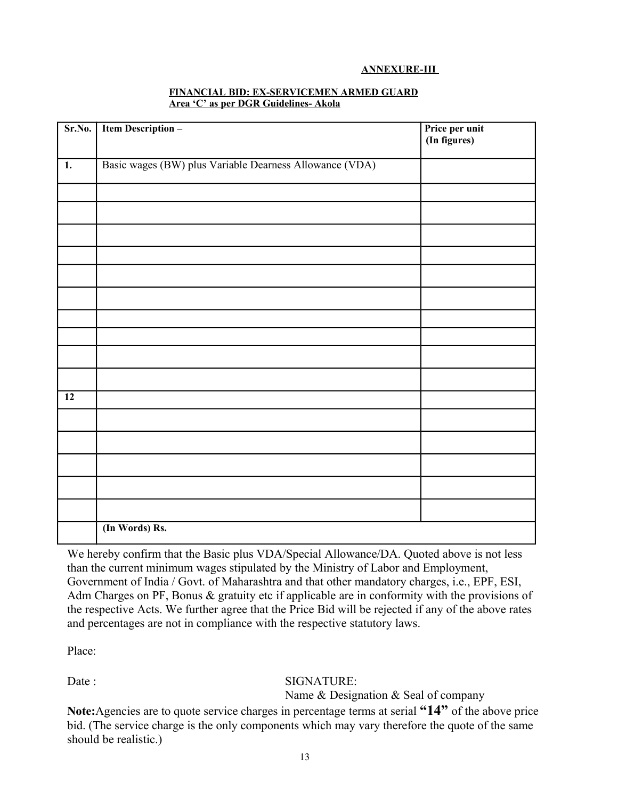### **ANNEXURE-III**

| Sr.No.           | <b>Item Description -</b>                               | Price per unit<br>(In figures) |
|------------------|---------------------------------------------------------|--------------------------------|
|                  |                                                         |                                |
| $\overline{1}$ . | Basic wages (BW) plus Variable Dearness Allowance (VDA) |                                |
|                  |                                                         |                                |
|                  |                                                         |                                |
|                  |                                                         |                                |
|                  |                                                         |                                |
|                  |                                                         |                                |
|                  |                                                         |                                |
|                  |                                                         |                                |
|                  |                                                         |                                |
|                  |                                                         |                                |
|                  |                                                         |                                |
| $\overline{12}$  |                                                         |                                |
|                  |                                                         |                                |
|                  |                                                         |                                |
|                  |                                                         |                                |
|                  |                                                         |                                |
|                  |                                                         |                                |
|                  | (In Words) Rs.                                          |                                |

#### **FINANCIAL BID: EX-SERVICEMEN ARMED GUARD Area 'C' as per DGR Guidelines- Akola**

We hereby confirm that the Basic plus VDA/Special Allowance/DA. Quoted above is not less than the current minimum wages stipulated by the Ministry of Labor and Employment, Government of India / Govt. of Maharashtra and that other mandatory charges, i.e., EPF, ESI, Adm Charges on PF, Bonus & gratuity etc if applicable are in conformity with the provisions of the respective Acts. We further agree that the Price Bid will be rejected if any of the above rates and percentages are not in compliance with the respective statutory laws.

Place:

# Date : SIGNATURE:

Name & Designation & Seal of company

**Note:**Agencies are to quote service charges in percentage terms at serial **"14"** of the above price bid. (The service charge is the only components which may vary therefore the quote of the same should be realistic.)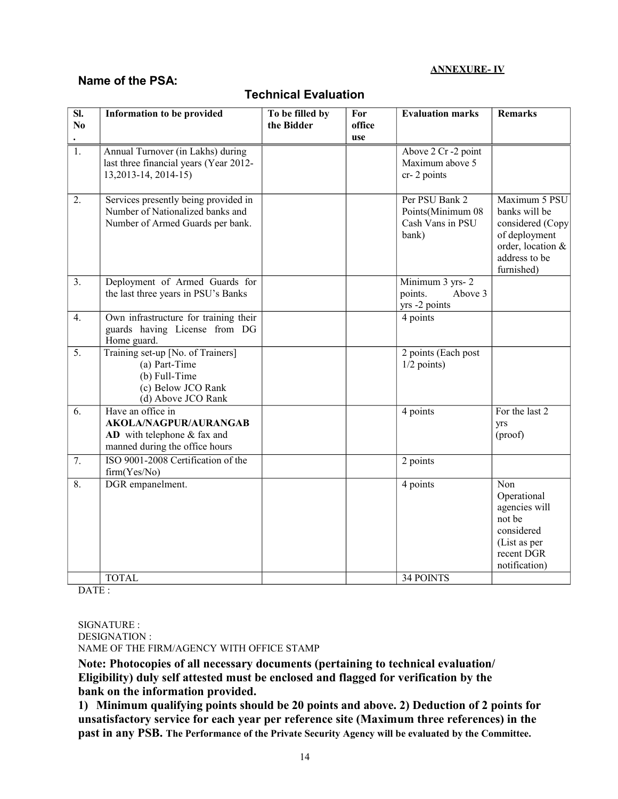### **ANNEXURE- IV**

# **Name of the PSA:**

| SI.<br>No        | <b>Information to be provided</b>                                                                                    | To be filled by<br>the Bidder | For<br>office<br>use | <b>Evaluation marks</b>                                          | <b>Remarks</b>                                                                                                          |
|------------------|----------------------------------------------------------------------------------------------------------------------|-------------------------------|----------------------|------------------------------------------------------------------|-------------------------------------------------------------------------------------------------------------------------|
| $\overline{1}$ . | Annual Turnover (in Lakhs) during<br>last three financial years (Year 2012-<br>13, 2013 - 14, 2014 - 15)             |                               |                      | Above 2 Cr -2 point<br>Maximum above 5<br>cr-2 points            |                                                                                                                         |
| 2.               | Services presently being provided in<br>Number of Nationalized banks and<br>Number of Armed Guards per bank.         |                               |                      | Per PSU Bank 2<br>Points(Minimum 08<br>Cash Vans in PSU<br>bank) | Maximum 5 PSU<br>banks will be<br>considered (Copy<br>of deployment<br>order, location &<br>address to be<br>furnished) |
| 3.               | Deployment of Armed Guards for<br>the last three years in PSU's Banks                                                |                               |                      | Minimum 3 yrs-2<br>Above 3<br>points.<br>yrs -2 points           |                                                                                                                         |
| 4.               | Own infrastructure for training their<br>guards having License from DG<br>Home guard.                                |                               |                      | 4 points                                                         |                                                                                                                         |
| $\overline{5}$ . | Training set-up [No. of Trainers]<br>(a) Part-Time<br>(b) Full-Time<br>(c) Below JCO Rank<br>(d) Above JCO Rank      |                               |                      | 2 points (Each post<br>$1/2$ points)                             |                                                                                                                         |
| 6.               | Have an office in<br><b>AKOLA/NAGPUR/AURANGAB</b><br>$AD$ with telephone & fax and<br>manned during the office hours |                               |                      | 4 points                                                         | For the last $2$<br>yrs<br>(proof)                                                                                      |
| $\overline{7}$ . | ISO 9001-2008 Certification of the<br>firm(Yes/No)                                                                   |                               |                      | 2 points                                                         |                                                                                                                         |
| 8.               | DGR empanelment.                                                                                                     |                               |                      | 4 points                                                         | Non<br>Operational<br>agencies will<br>not be<br>considered<br>(List as per<br>recent DGR<br>notification)              |
|                  | <b>TOTAL</b>                                                                                                         |                               |                      | <b>34 POINTS</b>                                                 |                                                                                                                         |

# **Technical Evaluation**

DATE :

SIGNATURE : DESIGNATION : NAME OF THE FIRM/AGENCY WITH OFFICE STAMP

**Note: Photocopies of all necessary documents (pertaining to technical evaluation/ Eligibility) duly self attested must be enclosed and flagged for verification by the bank on the information provided.**

**1) Minimum qualifying points should be 20 points and above. 2) Deduction of 2 points for unsatisfactory service for each year per reference site (Maximum three references) in the past in any PSB. The Performance of the Private Security Agency will be evaluated by the Committee.**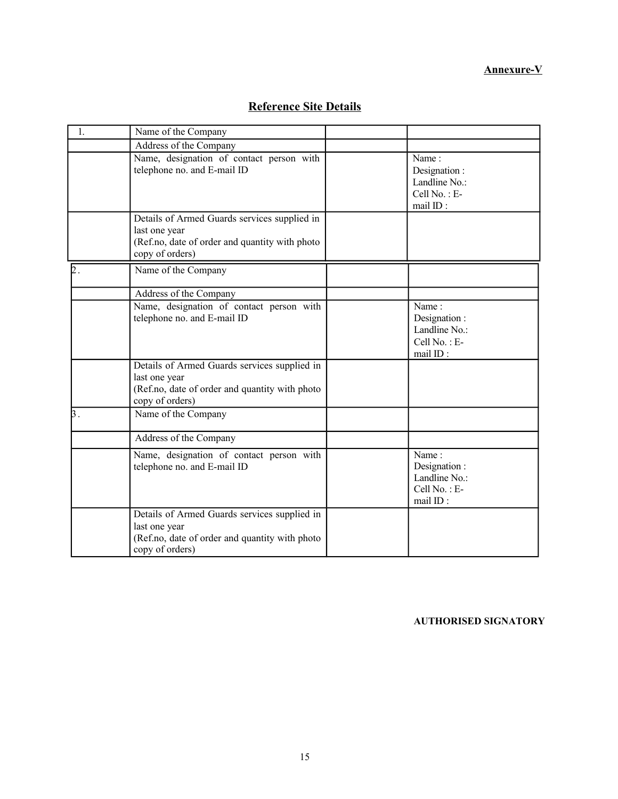# **Annexure-V**

| $\mathbf{1}$ . | Name of the Company                                                                                                                 |                                                                    |
|----------------|-------------------------------------------------------------------------------------------------------------------------------------|--------------------------------------------------------------------|
|                | Address of the Company                                                                                                              |                                                                    |
|                | Name, designation of contact person with<br>telephone no. and E-mail ID                                                             | Name:<br>Designation:<br>Landline No.:<br>Cell No.: E-<br>mail ID: |
|                | Details of Armed Guards services supplied in<br>last one year<br>(Ref.no, date of order and quantity with photo<br>copy of orders)  |                                                                    |
| b.             | Name of the Company                                                                                                                 |                                                                    |
|                | Address of the Company                                                                                                              |                                                                    |
|                | Name, designation of contact person with<br>telephone no. and E-mail ID                                                             | Name:<br>Designation:<br>Landline No.:<br>Cell No.: E-<br>mail ID: |
|                | Details of Armed Guards services supplied in<br>last one year<br>(Ref.no, date of order and quantity with photo<br>copy of orders)  |                                                                    |
| $\mathsf B$ .  | Name of the Company                                                                                                                 |                                                                    |
|                | Address of the Company                                                                                                              |                                                                    |
|                | Name, designation of contact person with<br>telephone no. and E-mail ID                                                             | Name:<br>Designation:<br>Landline No.:<br>Cell No.: E-<br>mail ID: |
|                | Details of Armed Guards services supplied in<br>last one year<br>(Ref.no, date of order and quantity with photo)<br>copy of orders) |                                                                    |

# **Reference Site Details**

**AUTHORISED SIGNATORY**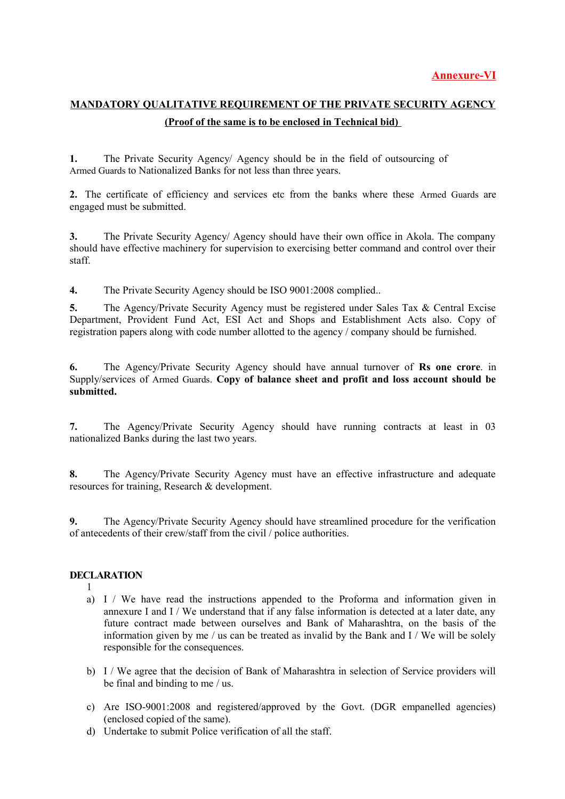# **MANDATORY QUALITATIVE REQUIREMENT OF THE PRIVATE SECURITY AGENCY (Proof of the same is to be enclosed in Technical bid)**

**1.** The Private Security Agency/ Agency should be in the field of outsourcing of Armed Guards to Nationalized Banks for not less than three years.

**2.** The certificate of efficiency and services etc from the banks where these Armed Guards are engaged must be submitted.

**3.** The Private Security Agency/ Agency should have their own office in Akola. The company should have effective machinery for supervision to exercising better command and control over their staff.

**4.** The Private Security Agency should be ISO 9001:2008 complied..

**5.** The Agency/Private Security Agency must be registered under Sales Tax & Central Excise Department, Provident Fund Act, ESI Act and Shops and Establishment Acts also. Copy of registration papers along with code number allotted to the agency / company should be furnished.

**6.** The Agency/Private Security Agency should have annual turnover of **Rs one crore**. in Supply/services of Armed Guards. **Copy of balance sheet and profit and loss account should be submitted.**

**7.** The Agency/Private Security Agency should have running contracts at least in 03 nationalized Banks during the last two years.

**8.** The Agency/Private Security Agency must have an effective infrastructure and adequate resources for training, Research & development.

**9.** The Agency/Private Security Agency should have streamlined procedure for the verification of antecedents of their crew/staff from the civil / police authorities.

# **DECLARATION**

- 1
- a) I / We have read the instructions appended to the Proforma and information given in annexure I and I / We understand that if any false information is detected at a later date, any future contract made between ourselves and Bank of Maharashtra, on the basis of the information given by me / us can be treated as invalid by the Bank and I / We will be solely responsible for the consequences.
- b) I / We agree that the decision of Bank of Maharashtra in selection of Service providers will be final and binding to me / us.
- c) Are ISO-9001:2008 and registered/approved by the Govt. (DGR empanelled agencies) (enclosed copied of the same).
- d) Undertake to submit Police verification of all the staff.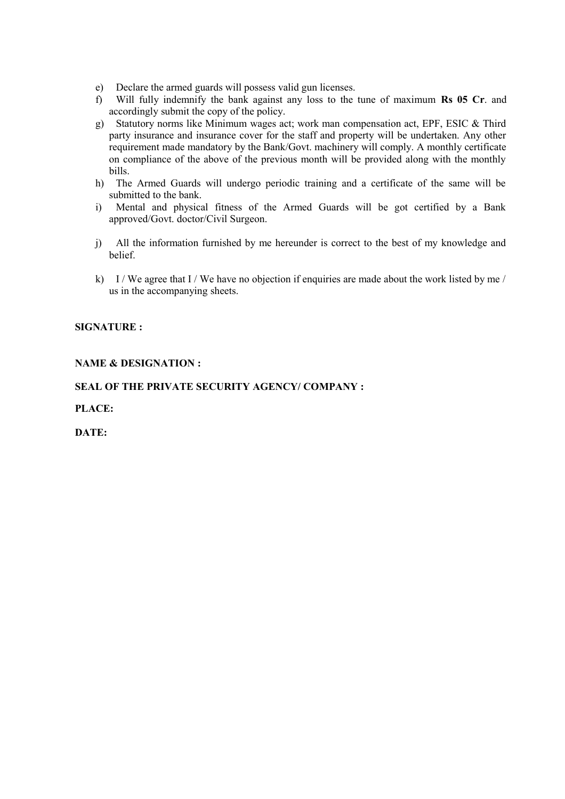- e) Declare the armed guards will possess valid gun licenses.
- f) Will fully indemnify the bank against any loss to the tune of maximum **Rs 05 Cr**. and accordingly submit the copy of the policy.
- g) Statutory norms like Minimum wages act; work man compensation act, EPF, ESIC & Third party insurance and insurance cover for the staff and property will be undertaken. Any other requirement made mandatory by the Bank/Govt. machinery will comply. A monthly certificate on compliance of the above of the previous month will be provided along with the monthly bills.
- h) The Armed Guards will undergo periodic training and a certificate of the same will be submitted to the bank.
- i) Mental and physical fitness of the Armed Guards will be got certified by a Bank approved/Govt. doctor/Civil Surgeon.
- j) All the information furnished by me hereunder is correct to the best of my knowledge and belief.
- k) I / We agree that I / We have no objection if enquiries are made about the work listed by me / us in the accompanying sheets.

## **SIGNATURE :**

## **NAME & DESIGNATION :**

## **SEAL OF THE PRIVATE SECURITY AGENCY/ COMPANY :**

**PLACE:** 

**DATE:**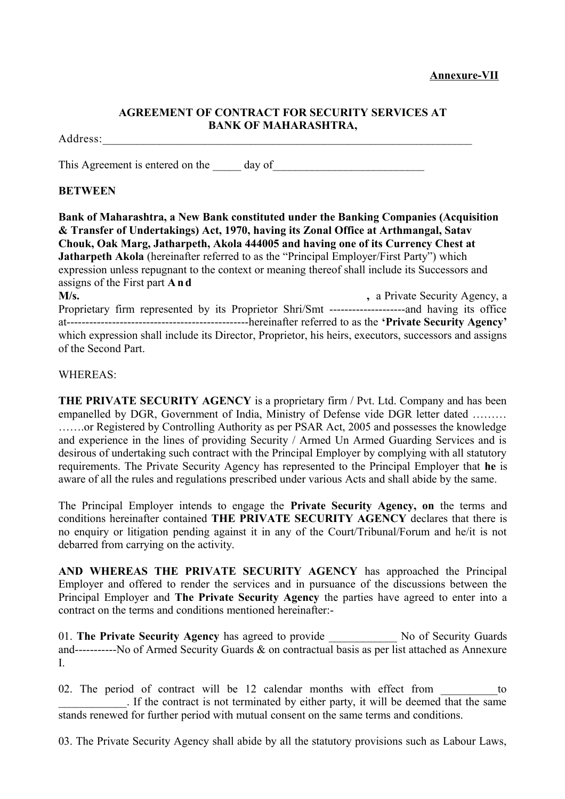# **AGREEMENT OF CONTRACT FOR SECURITY SERVICES AT BANK OF MAHARASHTRA,**

## Address:

This Agreement is entered on the day of

# **BETWEEN**

**Bank of Maharashtra, a New Bank constituted under the Banking Companies (Acquisition & Transfer of Undertakings) Act, 1970, having its Zonal Office at Arthmangal, Satav Chouk, Oak Marg, Jatharpeth, Akola 444005 and having one of its Currency Chest at Jatharpeth Akola** (hereinafter referred to as the "Principal Employer/First Party") which expression unless repugnant to the context or meaning thereof shall include its Successors and assigns of the First part **A n d M/s.**  $\blacksquare$ , a Private Security Agency, a Proprietary firm represented by its Proprietor Shri/Smt --------------------and having its office at------------------------------------------------hereinafter referred to as the **'Private Security Agency'**

which expression shall include its Director, Proprietor, his heirs, executors, successors and assigns of the Second Part.

# WHEREAS:

**THE PRIVATE SECURITY AGENCY** is a proprietary firm / Pvt. Ltd. Company and has been empanelled by DGR, Government of India, Ministry of Defense vide DGR letter dated ……… …….or Registered by Controlling Authority as per PSAR Act, 2005 and possesses the knowledge and experience in the lines of providing Security / Armed Un Armed Guarding Services and is desirous of undertaking such contract with the Principal Employer by complying with all statutory requirements. The Private Security Agency has represented to the Principal Employer that **he** is aware of all the rules and regulations prescribed under various Acts and shall abide by the same.

The Principal Employer intends to engage the **Private Security Agency, on** the terms and conditions hereinafter contained **THE PRIVATE SECURITY AGENCY** declares that there is no enquiry or litigation pending against it in any of the Court/Tribunal/Forum and he/it is not debarred from carrying on the activity.

**AND WHEREAS THE PRIVATE SECURITY AGENCY** has approached the Principal Employer and offered to render the services and in pursuance of the discussions between the Principal Employer and **The Private Security Agency** the parties have agreed to enter into a contract on the terms and conditions mentioned hereinafter:-

01. **The Private Security Agency** has agreed to provide No of Security Guards and-----------No of Armed Security Guards & on contractual basis as per list attached as Annexure I.

02. The period of contract will be 12 calendar months with effect from to  $\blacksquare$ . If the contract is not terminated by either party, it will be deemed that the same stands renewed for further period with mutual consent on the same terms and conditions.

03. The Private Security Agency shall abide by all the statutory provisions such as Labour Laws,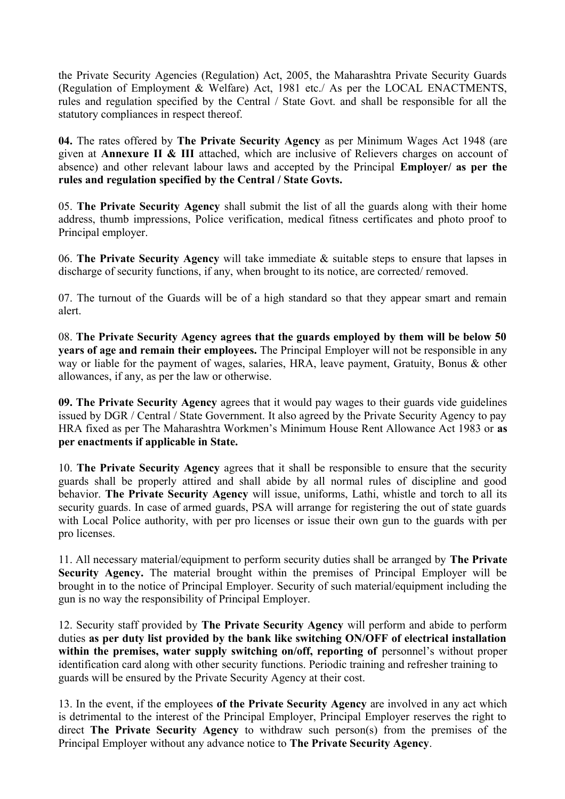the Private Security Agencies (Regulation) Act, 2005, the Maharashtra Private Security Guards (Regulation of Employment & Welfare) Act, 1981 etc./ As per the LOCAL ENACTMENTS, rules and regulation specified by the Central / State Govt. and shall be responsible for all the statutory compliances in respect thereof.

**04.** The rates offered by **The Private Security Agency** as per Minimum Wages Act 1948 (are given at **Annexure II & III** attached, which are inclusive of Relievers charges on account of absence) and other relevant labour laws and accepted by the Principal **Employer/ as per the rules and regulation specified by the Central / State Govts.**

05. **The Private Security Agency** shall submit the list of all the guards along with their home address, thumb impressions, Police verification, medical fitness certificates and photo proof to Principal employer.

06. **The Private Security Agency** will take immediate & suitable steps to ensure that lapses in discharge of security functions, if any, when brought to its notice, are corrected/ removed.

07. The turnout of the Guards will be of a high standard so that they appear smart and remain alert.

08. **The Private Security Agency agrees that the guards employed by them will be below 50 years of age and remain their employees.** The Principal Employer will not be responsible in any way or liable for the payment of wages, salaries, HRA, leave payment, Gratuity, Bonus & other allowances, if any, as per the law or otherwise.

**09. The Private Security Agency** agrees that it would pay wages to their guards vide guidelines issued by DGR / Central / State Government. It also agreed by the Private Security Agency to pay HRA fixed as per The Maharashtra Workmen's Minimum House Rent Allowance Act 1983 or **as per enactments if applicable in State.**

10. **The Private Security Agency** agrees that it shall be responsible to ensure that the security guards shall be properly attired and shall abide by all normal rules of discipline and good behavior. **The Private Security Agency** will issue, uniforms, Lathi, whistle and torch to all its security guards. In case of armed guards, PSA will arrange for registering the out of state guards with Local Police authority, with per pro licenses or issue their own gun to the guards with per pro licenses.

11. All necessary material/equipment to perform security duties shall be arranged by **The Private Security Agency.** The material brought within the premises of Principal Employer will be brought in to the notice of Principal Employer. Security of such material/equipment including the gun is no way the responsibility of Principal Employer.

12. Security staff provided by **The Private Security Agency** will perform and abide to perform duties **as per duty list provided by the bank like switching ON/OFF of electrical installation** within the premises, water supply switching on/off, reporting of personnel's without proper identification card along with other security functions. Periodic training and refresher training to guards will be ensured by the Private Security Agency at their cost.

13. In the event, if the employees **of the Private Security Agency** are involved in any act which is detrimental to the interest of the Principal Employer, Principal Employer reserves the right to direct **The Private Security Agency** to withdraw such person(s) from the premises of the Principal Employer without any advance notice to **The Private Security Agency**.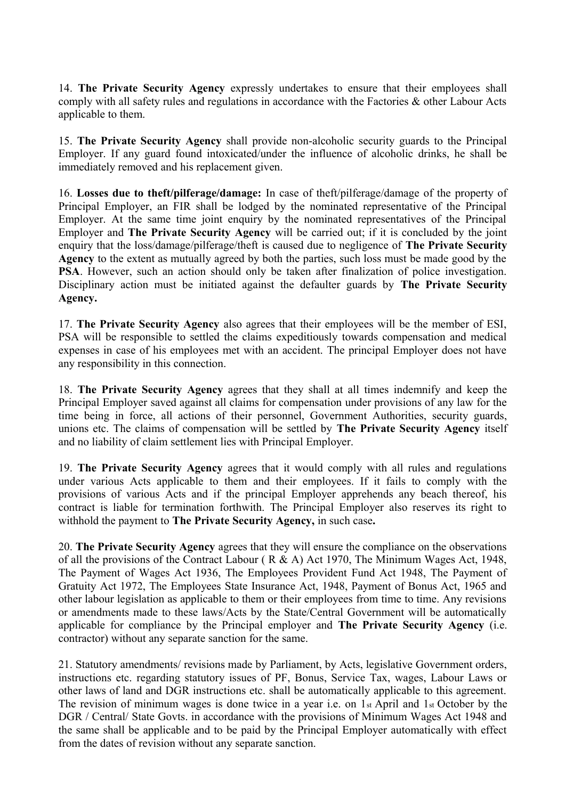14. **The Private Security Agency** expressly undertakes to ensure that their employees shall comply with all safety rules and regulations in accordance with the Factories & other Labour Acts applicable to them.

15. **The Private Security Agency** shall provide non-alcoholic security guards to the Principal Employer. If any guard found intoxicated/under the influence of alcoholic drinks, he shall be immediately removed and his replacement given.

16. **Losses due to theft/pilferage/damage:** In case of theft/pilferage/damage of the property of Principal Employer, an FIR shall be lodged by the nominated representative of the Principal Employer. At the same time joint enquiry by the nominated representatives of the Principal Employer and **The Private Security Agency** will be carried out; if it is concluded by the joint enquiry that the loss/damage/pilferage/theft is caused due to negligence of **The Private Security Agency** to the extent as mutually agreed by both the parties, such loss must be made good by the **PSA**. However, such an action should only be taken after finalization of police investigation. Disciplinary action must be initiated against the defaulter guards by **The Private Security Agency.**

17. **The Private Security Agency** also agrees that their employees will be the member of ESI, PSA will be responsible to settled the claims expeditiously towards compensation and medical expenses in case of his employees met with an accident. The principal Employer does not have any responsibility in this connection.

18. **The Private Security Agency** agrees that they shall at all times indemnify and keep the Principal Employer saved against all claims for compensation under provisions of any law for the time being in force, all actions of their personnel, Government Authorities, security guards, unions etc. The claims of compensation will be settled by **The Private Security Agency** itself and no liability of claim settlement lies with Principal Employer.

19. **The Private Security Agency** agrees that it would comply with all rules and regulations under various Acts applicable to them and their employees. If it fails to comply with the provisions of various Acts and if the principal Employer apprehends any beach thereof, his contract is liable for termination forthwith. The Principal Employer also reserves its right to withhold the payment to **The Private Security Agency,** in such case**.**

20. **The Private Security Agency** agrees that they will ensure the compliance on the observations of all the provisions of the Contract Labour ( R & A) Act 1970, The Minimum Wages Act, 1948, The Payment of Wages Act 1936, The Employees Provident Fund Act 1948, The Payment of Gratuity Act 1972, The Employees State Insurance Act, 1948, Payment of Bonus Act, 1965 and other labour legislation as applicable to them or their employees from time to time. Any revisions or amendments made to these laws/Acts by the State/Central Government will be automatically applicable for compliance by the Principal employer and **The Private Security Agency** (i.e. contractor) without any separate sanction for the same.

21. Statutory amendments/ revisions made by Parliament, by Acts, legislative Government orders, instructions etc. regarding statutory issues of PF, Bonus, Service Tax, wages, Labour Laws or other laws of land and DGR instructions etc. shall be automatically applicable to this agreement. The revision of minimum wages is done twice in a year i.e. on 1st April and 1st October by the DGR / Central/ State Govts. in accordance with the provisions of Minimum Wages Act 1948 and the same shall be applicable and to be paid by the Principal Employer automatically with effect from the dates of revision without any separate sanction.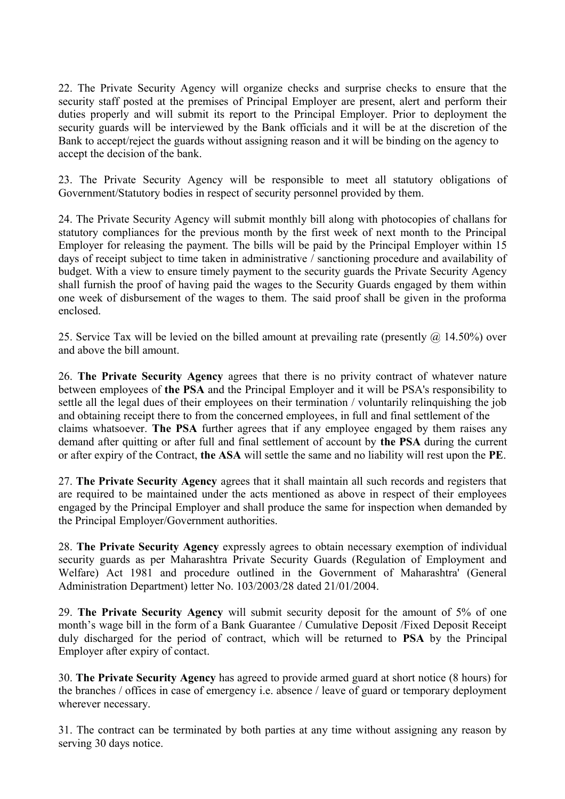22. The Private Security Agency will organize checks and surprise checks to ensure that the security staff posted at the premises of Principal Employer are present, alert and perform their duties properly and will submit its report to the Principal Employer. Prior to deployment the security guards will be interviewed by the Bank officials and it will be at the discretion of the Bank to accept/reject the guards without assigning reason and it will be binding on the agency to accept the decision of the bank.

23. The Private Security Agency will be responsible to meet all statutory obligations of Government/Statutory bodies in respect of security personnel provided by them.

24. The Private Security Agency will submit monthly bill along with photocopies of challans for statutory compliances for the previous month by the first week of next month to the Principal Employer for releasing the payment. The bills will be paid by the Principal Employer within 15 days of receipt subject to time taken in administrative / sanctioning procedure and availability of budget. With a view to ensure timely payment to the security guards the Private Security Agency shall furnish the proof of having paid the wages to the Security Guards engaged by them within one week of disbursement of the wages to them. The said proof shall be given in the proforma enclosed.

25. Service Tax will be levied on the billed amount at prevailing rate (presently  $(a)$  14.50%) over and above the bill amount.

26. **The Private Security Agency** agrees that there is no privity contract of whatever nature between employees of **the PSA** and the Principal Employer and it will be PSA's responsibility to settle all the legal dues of their employees on their termination / voluntarily relinquishing the job and obtaining receipt there to from the concerned employees, in full and final settlement of the claims whatsoever. **The PSA** further agrees that if any employee engaged by them raises any demand after quitting or after full and final settlement of account by **the PSA** during the current or after expiry of the Contract, **the ASA** will settle the same and no liability will rest upon the **PE**.

27. **The Private Security Agency** agrees that it shall maintain all such records and registers that are required to be maintained under the acts mentioned as above in respect of their employees engaged by the Principal Employer and shall produce the same for inspection when demanded by the Principal Employer/Government authorities.

28. **The Private Security Agency** expressly agrees to obtain necessary exemption of individual security guards as per Maharashtra Private Security Guards (Regulation of Employment and Welfare) Act 1981 and procedure outlined in the Government of Maharashtra' (General Administration Department) letter No. 103/2003/28 dated 21/01/2004.

29. **The Private Security Agency** will submit security deposit for the amount of 5% of one month's wage bill in the form of a Bank Guarantee / Cumulative Deposit /Fixed Deposit Receipt duly discharged for the period of contract, which will be returned to **PSA** by the Principal Employer after expiry of contact.

30. **The Private Security Agency** has agreed to provide armed guard at short notice (8 hours) for the branches / offices in case of emergency i.e. absence / leave of guard or temporary deployment wherever necessary.

31. The contract can be terminated by both parties at any time without assigning any reason by serving 30 days notice.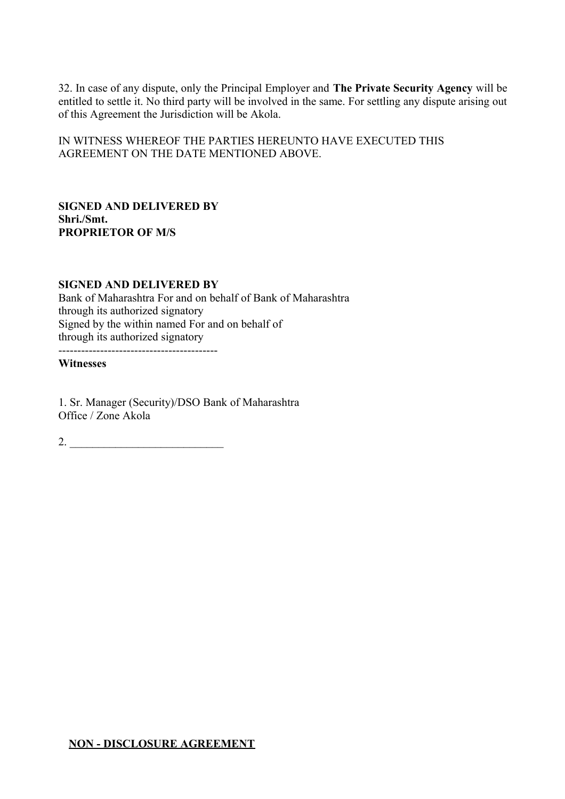32. In case of any dispute, only the Principal Employer and **The Private Security Agency** will be entitled to settle it. No third party will be involved in the same. For settling any dispute arising out of this Agreement the Jurisdiction will be Akola.

IN WITNESS WHEREOF THE PARTIES HEREUNTO HAVE EXECUTED THIS AGREEMENT ON THE DATE MENTIONED ABOVE.

# **SIGNED AND DELIVERED BY Shri./Smt. PROPRIETOR OF M/S**

# **SIGNED AND DELIVERED BY** Bank of Maharashtra For and on behalf of Bank of Maharashtra through its authorized signatory Signed by the within named For and on behalf of through its authorized signatory

------------------------------------------

# **Witnesses**

1. Sr. Manager (Security)/DSO Bank of Maharashtra Office / Zone Akola

 $2.$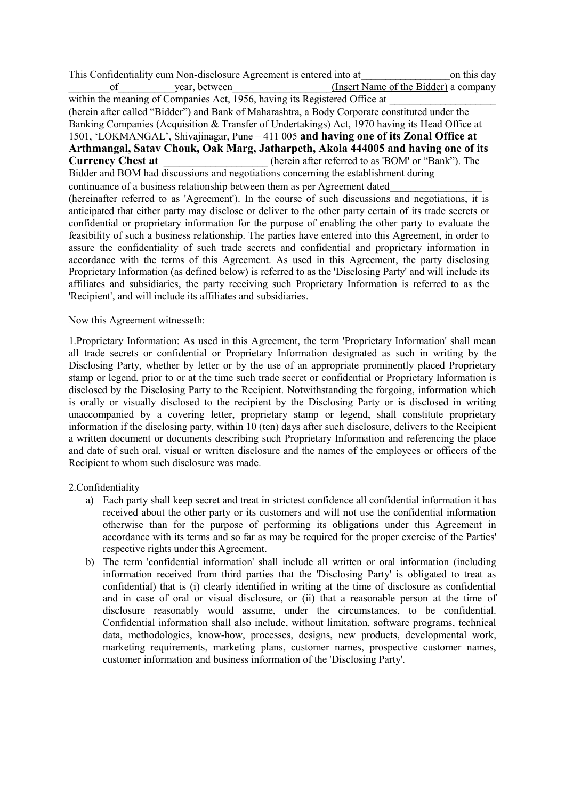This Confidentiality cum Non-disclosure Agreement is entered into at\_\_\_\_\_\_\_\_\_\_\_\_\_\_\_\_\_\_on this day of vear, between (Insert Name of the Bidder) a company within the meaning of Companies Act, 1956, having its Registered Office at (herein after called "Bidder") and Bank of Maharashtra, a Body Corporate constituted under the Banking Companies (Acquisition & Transfer of Undertakings) Act, 1970 having its Head Office at 1501, 'LOKMANGAL', Shivajinagar, Pune – 411 005 **and having one of its Zonal Office at Arthmangal, Satav Chouk, Oak Marg, Jatharpeth, Akola 444005 and having one of its Currency Chest at** (herein after referred to as 'BOM' or "Bank"). The Bidder and BOM had discussions and negotiations concerning the establishment during continuance of a business relationship between them as per Agreement dated (hereinafter referred to as 'Agreement'). In the course of such discussions and negotiations, it is anticipated that either party may disclose or deliver to the other party certain of its trade secrets or confidential or proprietary information for the purpose of enabling the other party to evaluate the feasibility of such a business relationship. The parties have entered into this Agreement, in order to assure the confidentiality of such trade secrets and confidential and proprietary information in accordance with the terms of this Agreement. As used in this Agreement, the party disclosing Proprietary Information (as defined below) is referred to as the 'Disclosing Party' and will include its affiliates and subsidiaries, the party receiving such Proprietary Information is referred to as the 'Recipient', and will include its affiliates and subsidiaries.

### Now this Agreement witnesseth:

1.Proprietary Information: As used in this Agreement, the term 'Proprietary Information' shall mean all trade secrets or confidential or Proprietary Information designated as such in writing by the Disclosing Party, whether by letter or by the use of an appropriate prominently placed Proprietary stamp or legend, prior to or at the time such trade secret or confidential or Proprietary Information is disclosed by the Disclosing Party to the Recipient. Notwithstanding the forgoing, information which is orally or visually disclosed to the recipient by the Disclosing Party or is disclosed in writing unaccompanied by a covering letter, proprietary stamp or legend, shall constitute proprietary information if the disclosing party, within 10 (ten) days after such disclosure, delivers to the Recipient a written document or documents describing such Proprietary Information and referencing the place and date of such oral, visual or written disclosure and the names of the employees or officers of the Recipient to whom such disclosure was made.

# 2.Confidentiality

- a) Each party shall keep secret and treat in strictest confidence all confidential information it has received about the other party or its customers and will not use the confidential information otherwise than for the purpose of performing its obligations under this Agreement in accordance with its terms and so far as may be required for the proper exercise of the Parties' respective rights under this Agreement.
- b) The term 'confidential information' shall include all written or oral information (including information received from third parties that the 'Disclosing Party' is obligated to treat as confidential) that is (i) clearly identified in writing at the time of disclosure as confidential and in case of oral or visual disclosure, or (ii) that a reasonable person at the time of disclosure reasonably would assume, under the circumstances, to be confidential. Confidential information shall also include, without limitation, software programs, technical data, methodologies, know-how, processes, designs, new products, developmental work, marketing requirements, marketing plans, customer names, prospective customer names, customer information and business information of the 'Disclosing Party'.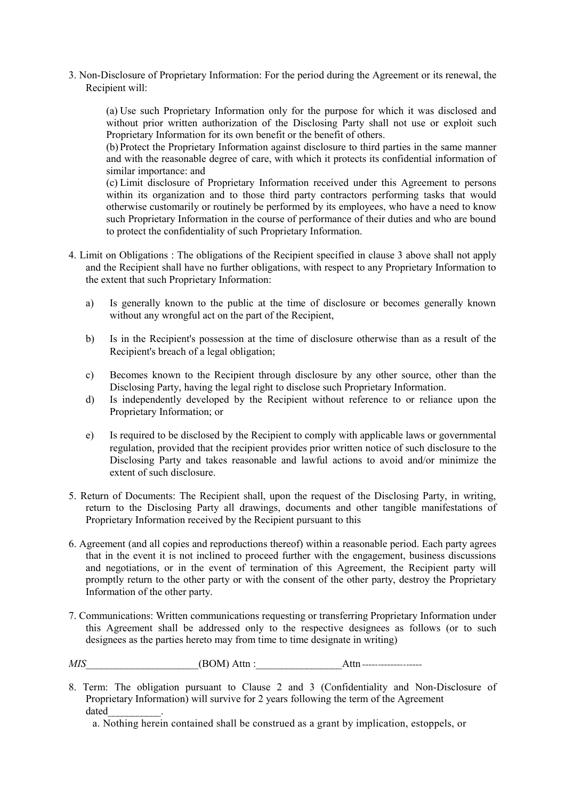3. Non-Disclosure of Proprietary Information: For the period during the Agreement or its renewal, the Recipient will:

(a) Use such Proprietary Information only for the purpose for which it was disclosed and without prior written authorization of the Disclosing Party shall not use or exploit such Proprietary Information for its own benefit or the benefit of others.

(b) Protect the Proprietary Information against disclosure to third parties in the same manner and with the reasonable degree of care, with which it protects its confidential information of similar importance: and

(c) Limit disclosure of Proprietary Information received under this Agreement to persons within its organization and to those third party contractors performing tasks that would otherwise customarily or routinely be performed by its employees, who have a need to know such Proprietary Information in the course of performance of their duties and who are bound to protect the confidentiality of such Proprietary Information.

- 4. Limit on Obligations : The obligations of the Recipient specified in clause 3 above shall not apply and the Recipient shall have no further obligations, with respect to any Proprietary Information to the extent that such Proprietary Information:
	- a) Is generally known to the public at the time of disclosure or becomes generally known without any wrongful act on the part of the Recipient,
	- b) Is in the Recipient's possession at the time of disclosure otherwise than as a result of the Recipient's breach of a legal obligation;
	- c) Becomes known to the Recipient through disclosure by any other source, other than the Disclosing Party, having the legal right to disclose such Proprietary Information.
	- d) Is independently developed by the Recipient without reference to or reliance upon the Proprietary Information; or
	- e) Is required to be disclosed by the Recipient to comply with applicable laws or governmental regulation, provided that the recipient provides prior written notice of such disclosure to the Disclosing Party and takes reasonable and lawful actions to avoid and/or minimize the extent of such disclosure.
- 5. Return of Documents: The Recipient shall, upon the request of the Disclosing Party, in writing, return to the Disclosing Party all drawings, documents and other tangible manifestations of Proprietary Information received by the Recipient pursuant to this
- 6. Agreement (and all copies and reproductions thereof) within a reasonable period. Each party agrees that in the event it is not inclined to proceed further with the engagement, business discussions and negotiations, or in the event of termination of this Agreement, the Recipient party will promptly return to the other party or with the consent of the other party, destroy the Proprietary Information of the other party.
- 7. Communications: Written communications requesting or transferring Proprietary Information under this Agreement shall be addressed only to the respective designees as follows (or to such designees as the parties hereto may from time to time designate in writing)

*MIS* (BOM) Attn :  $\qquad \qquad$  Attn :

8. Term: The obligation pursuant to Clause 2 and 3 (Confidentiality and Non-Disclosure of Proprietary Information) will survive for 2 years following the term of the Agreement dated\_\_\_\_\_\_\_\_\_\_\_.

a. Nothing herein contained shall be construed as a grant by implication, estoppels, or